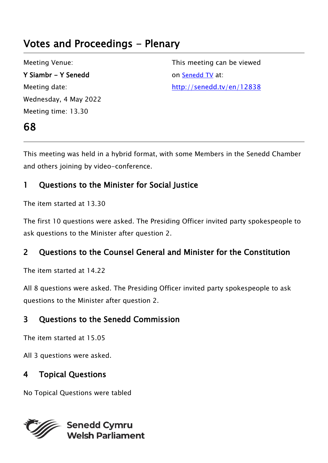# Votes and Proceedings - Plenary

Meeting Venue: Y Siambr - Y Senedd Meeting date: Wednesday, 4 May 2022 Meeting time: 13.30

68

This meeting can be viewed on [Senedd TV](http://senedd.tv/) at: http://senedd.tv/en/12838

This meeting was held in a hybrid format, with some Members in the Senedd Chamber and others joining by video-conference.

# 1 Questions to the Minister for Social Justice

The item started at 13.30

The first 10 questions were asked. The Presiding Officer invited party spokespeople to ask questions to the Minister after question 2.

# 2 Questions to the Counsel General and Minister for the Constitution

The item started at 14.22

All 8 questions were asked. The Presiding Officer invited party spokespeople to ask questions to the Minister after question 2.

# 3 Questions to the Senedd Commission

The item started at 15.05

All 3 questions were asked.

# 4 Topical Questions

No Topical Questions were tabled

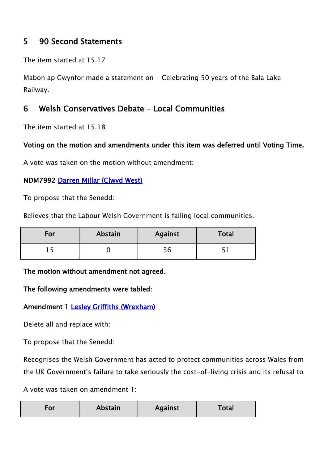# 5 90 Second Statements

The item started at 15.17

Mabon ap Gwynfor made a statement on - Celebrating 50 years of the Bala Lake Railway.

## 6 Welsh Conservatives Debate - Local Communities

The item started at 15.18

### Voting on the motion and amendments under this item was deferred until Voting Time.

A vote was taken on the motion without amendment:

#### NDM7992 [Darren Millar \(Clwyd West\)](https://business.senedd.wales/mgUserInfo.aspx?UID=171)

To propose that the Senedd:

Believes that the Labour Welsh Government is failing local communities.

| For | Abstain | <b>Against</b> | Total |
|-----|---------|----------------|-------|
|     |         | コム             |       |

The motion without amendment not agreed.

#### The following amendments were tabled:

### Amendment 1 [Lesley Griffiths \(Wrexham\)](https://senedd.wales/people/154)

Delete all and replace with:

To propose that the Senedd:

Recognises the Welsh Government has acted to protect communities across Wales from the UK Government's failure to take seriously the cost-of-living crisis and its refusal to

A vote was taken on amendment 1:

| <b>Abstain</b><br><b>Against</b><br>Γotal<br>-or |  |
|--------------------------------------------------|--|
|--------------------------------------------------|--|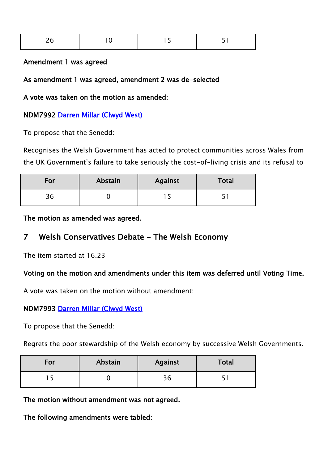| $\sim$<br>ノト<br>▵<br>$\overline{\phantom{0}}$ | $10^{-1}$ | 1 F<br>$\sim$ | - - |
|-----------------------------------------------|-----------|---------------|-----|
|                                               |           |               |     |

#### Amendment 1 was agreed

As amendment 1 was agreed, amendment 2 was de-selected

A vote was taken on the motion as amended:

#### NDM7992 [Darren Millar \(Clwyd West\)](https://business.senedd.wales/mgUserInfo.aspx?UID=171)

To propose that the Senedd:

Recognises the Welsh Government has acted to protect communities across Wales from the UK Government's failure to take seriously the cost-of-living crisis and its refusal to

| For          | Abstain | <b>Against</b> | <b>Total</b> |
|--------------|---------|----------------|--------------|
| ጋ ፎ<br>- O C |         |                |              |

The motion as amended was agreed.

### 7 Welsh Conservatives Debate - The Welsh Economy

The item started at 16.23

#### Voting on the motion and amendments under this item was deferred until Voting Time.

A vote was taken on the motion without amendment:

#### NDM7993 [Darren Millar \(Clwyd West\)](https://business.senedd.wales/mgUserInfo.aspx?UID=171)

To propose that the Senedd:

Regrets the poor stewardship of the Welsh economy by successive Welsh Governments.

| For | Abstain | Against | Total |
|-----|---------|---------|-------|
|     |         | 36      |       |

The motion without amendment was not agreed.

The following amendments were tabled: